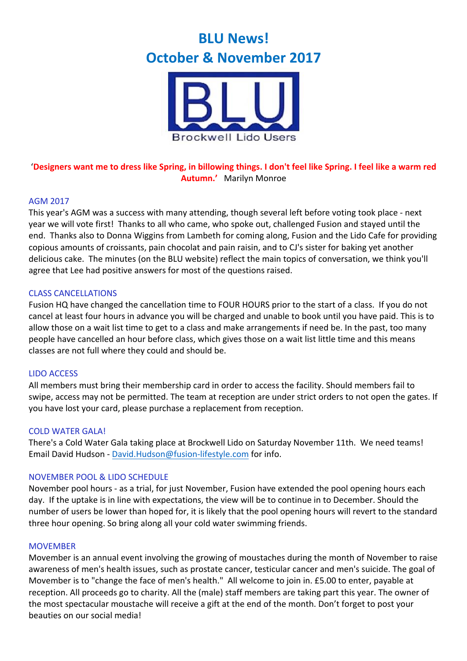# **BLU News! October & November 2017**



## 'Designers want me to dress like Spring, in billowing things. I don't feel like Spring. I feel like a warm red **Autumn.'** Marilyn Monroe

#### AGM 2017

This year's AGM was a success with many attending, though several left before voting took place - next year we will vote first! Thanks to all who came, who spoke out, challenged Fusion and stayed until the end. Thanks also to Donna Wiggins from Lambeth for coming along, Fusion and the Lido Cafe for providing copious amounts of croissants, pain chocolat and pain raisin, and to CJ's sister for baking yet another delicious cake. The minutes (on the BLU website) reflect the main topics of conversation, we think you'll agree that Lee had positive answers for most of the questions raised.

#### CLASS CANCELLATIONS

Fusion HQ have changed the cancellation time to FOUR HOURS prior to the start of a class. If you do not cancel at least four hours in advance you will be charged and unable to book until you have paid. This is to allow those on a wait list time to get to a class and make arrangements if need be. In the past, too many people have cancelled an hour before class, which gives those on a wait list little time and this means classes are not full where they could and should be.

#### LIDO ACCESS

All members must bring their membership card in order to access the facility. Should members fail to swipe, access may not be permitted. The team at reception are under strict orders to not open the gates. If you have lost your card, please purchase a replacement from reception.

#### **COLD WATER GALA!**

There's a Cold Water Gala taking place at Brockwell Lido on Saturday November 11th. We need teams! Email David Hudson - David.Hudson@fusion-lifestyle.com for info.

#### NOVEMBER POOL & LIDO SCHEDULE

November pool hours - as a trial, for just November, Fusion have extended the pool opening hours each day. If the uptake is in line with expectations, the view will be to continue in to December. Should the number of users be lower than hoped for, it is likely that the pool opening hours will revert to the standard three hour opening. So bring along all your cold water swimming friends.

#### MOVEMBER

Movember is an annual event involving the growing of moustaches during the month of November to raise awareness of men's health issues, such as prostate cancer, testicular cancer and men's suicide. The goal of Movember is to "change the face of men's health." All welcome to join in. £5.00 to enter, payable at reception. All proceeds go to charity. All the (male) staff members are taking part this year. The owner of the most spectacular moustache will receive a gift at the end of the month. Don't forget to post your beauties on our social media!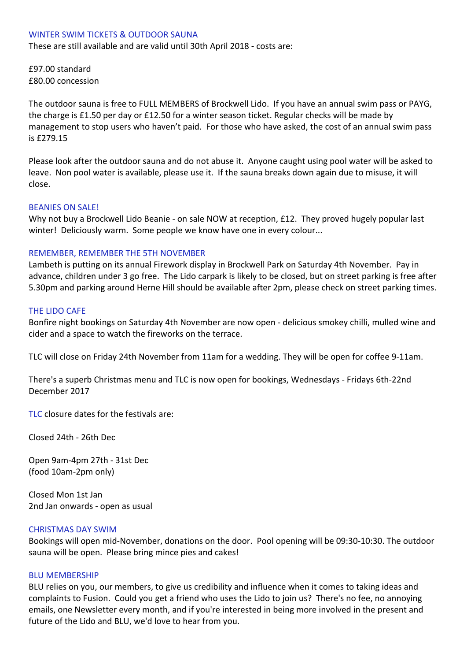#### WINTER SWIM TICKETS & OUTDOOR SAUNA

These are still available and are valid until 30th April 2018 - costs are:

£97.00 standard £80.00 concession

The outdoor sauna is free to FULL MEMBERS of Brockwell Lido. If you have an annual swim pass or PAYG, the charge is £1.50 per day or £12.50 for a winter season ticket. Regular checks will be made by management to stop users who haven't paid. For those who have asked, the cost of an annual swim pass is £279.15

Please look after the outdoor sauna and do not abuse it. Anyone caught using pool water will be asked to leave. Non pool water is available, please use it. If the sauna breaks down again due to misuse, it will close.

#### **BEANIES ON SALE!**

Why not buy a Brockwell Lido Beanie - on sale NOW at reception, £12. They proved hugely popular last winter! Deliciously warm. Some people we know have one in every colour...

#### REMEMBER, REMEMBER THE 5TH NOVEMBER

Lambeth is putting on its annual Firework display in Brockwell Park on Saturday 4th November. Pay in advance, children under 3 go free. The Lido carpark is likely to be closed, but on street parking is free after 5.30pm and parking around Herne Hill should be available after 2pm, please check on street parking times.

#### **THE LIDO CAFE**

Bonfire night bookings on Saturday 4th November are now open - delicious smokey chilli, mulled wine and cider and a space to watch the fireworks on the terrace.

TLC will close on Friday 24th November from 11am for a wedding. They will be open for coffee 9-11am.

There's a superb Christmas menu and TLC is now open for bookings, Wednesdays - Fridays 6th-22nd December 2017

TLC closure dates for the festivals are:

Closed 24th - 26th Dec

Open 9am-4pm 27th - 31st Dec (food 10am-2pm only)

Closed Mon 1st Jan 2nd Jan onwards - open as usual

#### **CHRISTMAS DAY SWIM**

Bookings will open mid-November, donations on the door. Pool opening will be 09:30-10:30. The outdoor sauna will be open. Please bring mince pies and cakes!

#### **BLU MEMBERSHIP**

BLU relies on you, our members, to give us credibility and influence when it comes to taking ideas and complaints to Fusion. Could you get a friend who uses the Lido to join us? There's no fee, no annoying emails, one Newsletter every month, and if you're interested in being more involved in the present and future of the Lido and BLU, we'd love to hear from you.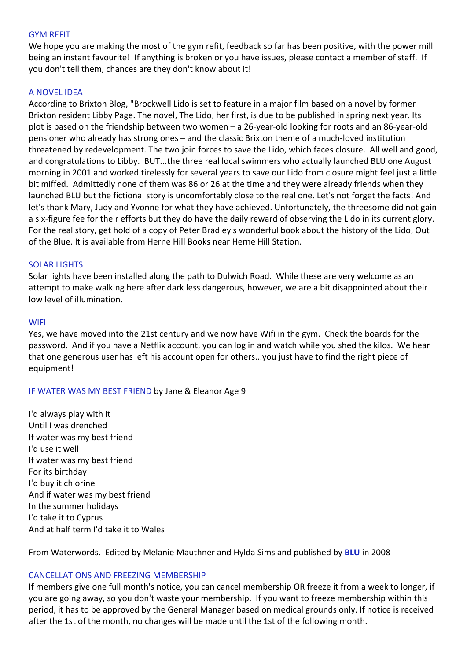#### **GYM REFIT**

We hope you are making the most of the gym refit, feedback so far has been positive, with the power mill being an instant favourite! If anything is broken or you have issues, please contact a member of staff. If you don't tell them, chances are they don't know about it!

#### **A NOVEL IDEA**

According to Brixton Blog, "Brockwell Lido is set to feature in a major film based on a novel by former Brixton resident Libby Page. The novel, The Lido, her first, is due to be published in spring next year. Its plot is based on the friendship between two women  $-$  a 26-year-old looking for roots and an 86-year-old pensioner who already has strong ones – and the classic Brixton theme of a much-loved institution threatened by redevelopment. The two join forces to save the Lido, which faces closure. All well and good, and congratulations to Libby. BUT...the three real local swimmers who actually launched BLU one August morning in 2001 and worked tirelessly for several years to save our Lido from closure might feel just a little bit miffed. Admittedly none of them was 86 or 26 at the time and they were already friends when they launched BLU but the fictional story is uncomfortably close to the real one. Let's not forget the facts! And let's thank Mary, Judy and Yvonne for what they have achieved. Unfortunately, the threesome did not gain a six-figure fee for their efforts but they do have the daily reward of observing the Lido in its current glory. For the real story, get hold of a copy of Peter Bradley's wonderful book about the history of the Lido, Out of the Blue. It is available from Herne Hill Books near Herne Hill Station.

#### SOLAR LIGHTS

Solar lights have been installed along the path to Dulwich Road. While these are very welcome as an attempt to make walking here after dark less dangerous, however, we are a bit disappointed about their low level of illumination.

#### **WIFI**

Yes, we have moved into the 21st century and we now have Wifi in the gym. Check the boards for the password. And if you have a Netflix account, you can log in and watch while you shed the kilos. We hear that one generous user has left his account open for others...you just have to find the right piece of equipment!

#### IF WATER WAS MY BEST FRIEND by Jane & Eleanor Age 9

I'd always play with it Until I was drenched If water was my best friend I'd use it well If water was my best friend For its birthday I'd buy it chlorine And if water was my best friend In the summer holidays I'd take it to Cyprus And at half term I'd take it to Wales

From Waterwords. Edited by Melanie Mauthner and Hylda Sims and published by **BLU** in 2008

#### CANCELLATIONS AND FREEZING MEMBERSHIP

If members give one full month's notice, you can cancel membership OR freeze it from a week to longer, if you are going away, so you don't waste your membership. If you want to freeze membership within this period, it has to be approved by the General Manager based on medical grounds only. If notice is received after the 1st of the month, no changes will be made until the 1st of the following month.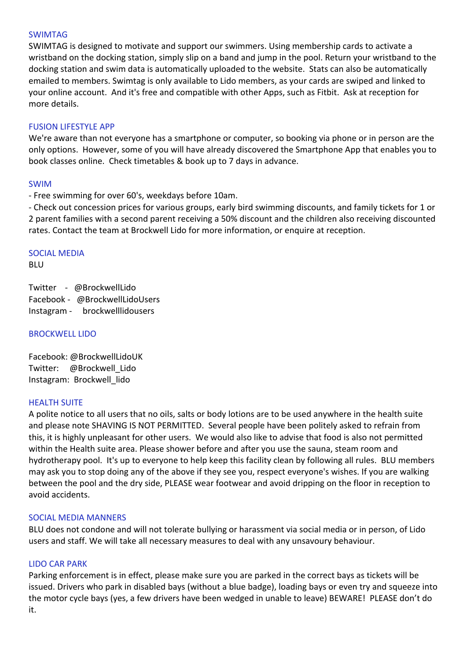#### SWIMTAG

SWIMTAG is designed to motivate and support our swimmers. Using membership cards to activate a wristband on the docking station, simply slip on a band and jump in the pool. Return your wristband to the docking station and swim data is automatically uploaded to the website. Stats can also be automatically emailed to members. Swimtag is only available to Lido members, as your cards are swiped and linked to your online account. And it's free and compatible with other Apps, such as Fitbit. Ask at reception for more details.

#### FUSION LIFESTYLE APP

We're aware than not everyone has a smartphone or computer, so booking via phone or in person are the only options. However, some of you will have already discovered the Smartphone App that enables you to book classes online. Check timetables & book up to 7 days in advance.

#### SWIM

- Free swimming for over 60's, weekdays before 10am.

- Check out concession prices for various groups, early bird swimming discounts, and family tickets for 1 or 2 parent families with a second parent receiving a 50% discount and the children also receiving discounted rates. Contact the team at Brockwell Lido for more information, or enquire at reception.

#### **SOCIAL MEDIA**

BLU

Twitter - @BrockwellLido Facebook - @BrockwellLidoUsers Instagram - brockwelllidousers

#### **BROCKWELL LIDO**

Facebook: @BrockwellLidoUK Twitter: @Brockwell Lido Instagram: Brockwell lido

#### **HEALTH SUITE**

A polite notice to all users that no oils, salts or body lotions are to be used anywhere in the health suite and please note SHAVING IS NOT PERMITTED. Several people have been politely asked to refrain from this, it is highly unpleasant for other users. We would also like to advise that food is also not permitted within the Health suite area. Please shower before and after you use the sauna, steam room and hydrotherapy pool. It's up to everyone to help keep this facility clean by following all rules. BLU members may ask you to stop doing any of the above if they see you, respect everyone's wishes. If you are walking between the pool and the dry side, PLEASE wear footwear and avoid dripping on the floor in reception to avoid accidents.

#### SOCIAL MEDIA MANNERS

BLU does not condone and will not tolerate bullying or harassment via social media or in person, of Lido users and staff. We will take all necessary measures to deal with any unsavoury behaviour.

#### LIDO CAR PARK

Parking enforcement is in effect, please make sure you are parked in the correct bays as tickets will be issued. Drivers who park in disabled bays (without a blue badge), loading bays or even try and squeeze into the motor cycle bays (yes, a few drivers have been wedged in unable to leave) BEWARE! PLEASE don't do it.